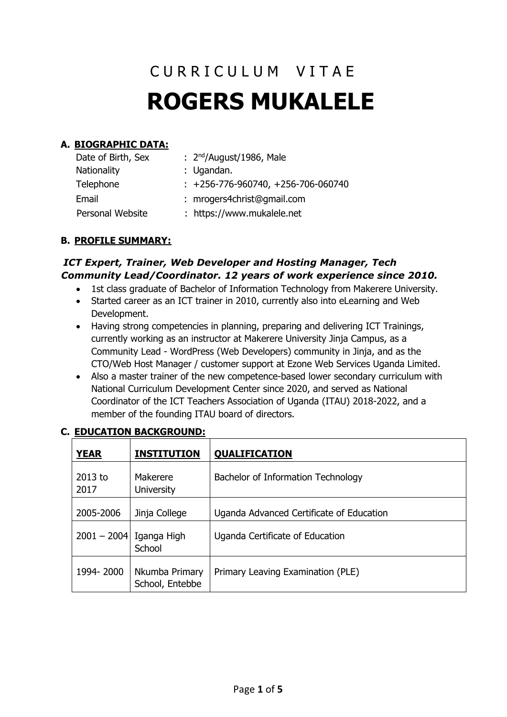# C U R R I C U L U M V I T A E **ROGERS MUKALELE**

# **A. BIOGRAPHIC DATA:**

| Date of Birth, Sex | : $2nd/August/1986$ , Male           |
|--------------------|--------------------------------------|
| <b>Nationality</b> | : Ugandan.                           |
| Telephone          | $: +256-776-960740, +256-706-060740$ |
| Email              | : mrogers4christ@gmail.com           |
| Personal Website   | : https://www.mukalele.net           |

#### **B. PROFILE SUMMARY:**

## *ICT Expert, Trainer, Web Developer and Hosting Manager, Tech Community Lead/Coordinator. 12 years of work experience since 2010.*

- 1st class graduate of Bachelor of Information Technology from Makerere University.
- Started career as an ICT trainer in 2010, currently also into eLearning and Web Development.
- Having strong competencies in planning, preparing and delivering ICT Trainings, currently working as an instructor at Makerere University Jinja Campus, as a Community Lead - WordPress (Web Developers) community in Jinja, and as the CTO/Web Host Manager / customer support at Ezone Web Services Uganda Limited.
- Also a master trainer of the new competence-based lower secondary curriculum with National Curriculum Development Center since 2020, and served as National Coordinator of the ICT Teachers Association of Uganda (ITAU) 2018-2022, and a member of the founding ITAU board of directors.

| <b>YEAR</b>       | <b>INSTITUTION</b>                | <b>QUALIFICATION</b>                     |  |
|-------------------|-----------------------------------|------------------------------------------|--|
| $2013$ to<br>2017 | Makerere<br><b>University</b>     | Bachelor of Information Technology       |  |
| 2005-2006         | Jinja College                     | Uganda Advanced Certificate of Education |  |
| $2001 - 2004$     | Iganga High<br>School             | Uganda Certificate of Education          |  |
| 1994-2000         | Nkumba Primary<br>School, Entebbe | Primary Leaving Examination (PLE)        |  |

## **C. EDUCATION BACKGROUND:**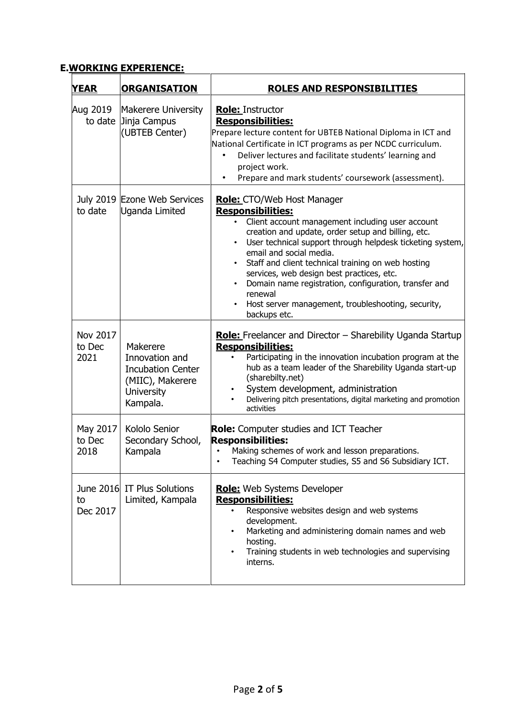## **E.WORKING EXPERIENCE:**

| <b>YEAR</b>                | <b>ORGANISATION</b>                                                                                         | <b>ROLES AND RESPONSIBILITIES</b>                                                                                                                                                                                                                                                                                                                                                                                                                                                                            |  |
|----------------------------|-------------------------------------------------------------------------------------------------------------|--------------------------------------------------------------------------------------------------------------------------------------------------------------------------------------------------------------------------------------------------------------------------------------------------------------------------------------------------------------------------------------------------------------------------------------------------------------------------------------------------------------|--|
| Aug 2019                   | Makerere University<br>to date Jinja Campus<br>(UBTEB Center)                                               | <b>Role: Instructor</b><br><b>Responsibilities:</b><br>Prepare lecture content for UBTEB National Diploma in ICT and<br>National Certificate in ICT programs as per NCDC curriculum.<br>Deliver lectures and facilitate students' learning and<br>$\bullet$<br>project work.<br>Prepare and mark students' coursework (assessment).                                                                                                                                                                          |  |
| to date                    | July 2019 Ezone Web Services<br>Uganda Limited                                                              | <b>Role:</b> CTO/Web Host Manager<br><b>Responsibilities:</b><br>Client account management including user account<br>creation and update, order setup and billing, etc.<br>User technical support through helpdesk ticketing system,<br>email and social media.<br>Staff and client technical training on web hosting<br>services, web design best practices, etc.<br>Domain name registration, configuration, transfer and<br>renewal<br>Host server management, troubleshooting, security,<br>backups etc. |  |
| Nov 2017<br>to Dec<br>2021 | Makerere<br>Innovation and<br><b>Incubation Center</b><br>(MIIC), Makerere<br><b>University</b><br>Kampala. | <b>Role:</b> Freelancer and Director – Sharebility Uganda Startup<br><b>Responsibilities:</b><br>Participating in the innovation incubation program at the<br>hub as a team leader of the Sharebility Uganda start-up<br>(sharebilty.net)<br>System development, administration<br>Delivering pitch presentations, digital marketing and promotion<br>activities                                                                                                                                             |  |
| May 2017<br>to Dec<br>2018 | Kololo Senior<br>Secondary School,<br>Kampala                                                               | <b>Role:</b> Computer studies and ICT Teacher<br><b>Responsibilities:</b><br>Making schemes of work and lesson preparations.<br>Teaching S4 Computer studies, S5 and S6 Subsidiary ICT.                                                                                                                                                                                                                                                                                                                      |  |
| to<br>Dec 2017             | June 2016 IT Plus Solutions<br>Limited, Kampala                                                             | Role: Web Systems Developer<br><b>Responsibilities:</b><br>Responsive websites design and web systems<br>development.<br>Marketing and administering domain names and web<br>$\bullet$<br>hosting.<br>Training students in web technologies and supervising<br>$\bullet$<br>interns.                                                                                                                                                                                                                         |  |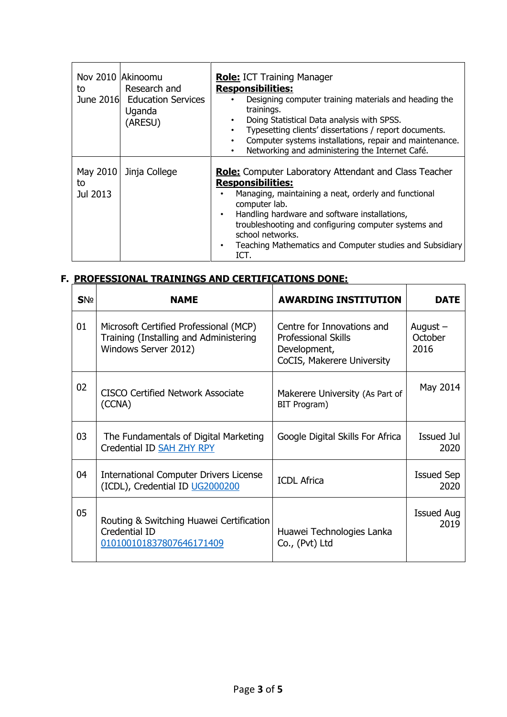| to                         | Nov 2010 Akinoomu<br>Research and<br>June 2016 Education Services<br>Uganda<br>(ARESU) | <b>Role:</b> ICT Training Manager<br><b>Responsibilities:</b><br>Designing computer training materials and heading the<br>trainings.<br>Doing Statistical Data analysis with SPSS.<br>Typesetting clients' dissertations / report documents.<br>Computer systems installations, repair and maintenance.<br>$\bullet$<br>Networking and administering the Internet Café.<br>$\bullet$ |
|----------------------------|----------------------------------------------------------------------------------------|--------------------------------------------------------------------------------------------------------------------------------------------------------------------------------------------------------------------------------------------------------------------------------------------------------------------------------------------------------------------------------------|
| May 2010<br>to<br>Jul 2013 | Jinja College                                                                          | <b>Role:</b> Computer Laboratory Attendant and Class Teacher<br><b>Responsibilities:</b><br>Managing, maintaining a neat, orderly and functional<br>computer lab.<br>Handling hardware and software installations,<br>٠<br>troubleshooting and configuring computer systems and<br>school networks.<br>Teaching Mathematics and Computer studies and Subsidiary<br>$\bullet$<br>ICT. |

#### **F. PROFESSIONAL TRAININGS AND CERTIFICATIONS DONE:**

| <b>SNº</b> | <b>NAME</b>                                                                                              | <b>AWARDING INSTITUTION</b>                                                                            | <b>DATE</b>                   |
|------------|----------------------------------------------------------------------------------------------------------|--------------------------------------------------------------------------------------------------------|-------------------------------|
| 01         | Microsoft Certified Professional (MCP)<br>Training (Installing and Administering<br>Windows Server 2012) | Centre for Innovations and<br><b>Professional Skills</b><br>Development,<br>CoCIS, Makerere University | August $-$<br>October<br>2016 |
| 02         | <b>CISCO Certified Network Associate</b><br>(CCNA)                                                       | Makerere University (As Part of<br>BIT Program)                                                        | May 2014                      |
| 03         | The Fundamentals of Digital Marketing<br>Credential ID SAH ZHY RPY                                       | Google Digital Skills For Africa                                                                       | <b>Issued Jul</b><br>2020     |
| 04         | <b>International Computer Drivers License</b><br>(ICDL), Credential ID UG2000200                         | <b>ICDL Africa</b>                                                                                     | <b>Issued Sep</b><br>2020     |
| 05         | Routing & Switching Huawei Certification<br>Credential ID<br>010100101837807646171409                    | Huawei Technologies Lanka<br>Co., (Pvt) Ltd                                                            | <b>Issued Aug</b><br>2019     |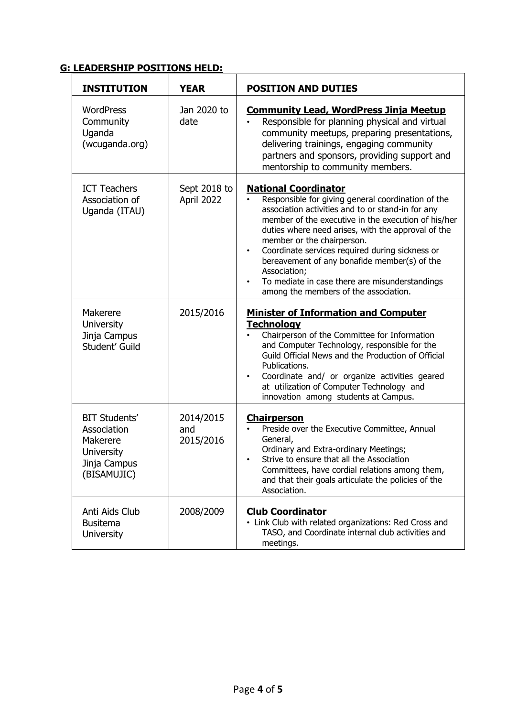## **G: LEADERSHIP POSITIONS HELD:**

| <b>INSTITUTION</b>                                                                           | <b>YEAR</b>                   | <b>POSITION AND DUTIES</b>                                                                                                                                                                                                                                                                                                                                                                                                                                                                                   |
|----------------------------------------------------------------------------------------------|-------------------------------|--------------------------------------------------------------------------------------------------------------------------------------------------------------------------------------------------------------------------------------------------------------------------------------------------------------------------------------------------------------------------------------------------------------------------------------------------------------------------------------------------------------|
| <b>WordPress</b><br>Community<br>Uganda<br>(wcuganda.org)                                    | Jan 2020 to<br>date           | <b>Community Lead, WordPress Jinja Meetup</b><br>Responsible for planning physical and virtual<br>community meetups, preparing presentations,<br>delivering trainings, engaging community<br>partners and sponsors, providing support and<br>mentorship to community members.                                                                                                                                                                                                                                |
| <b>ICT Teachers</b><br>Association of<br>Uganda (ITAU)                                       | Sept 2018 to<br>April 2022    | <b>National Coordinator</b><br>Responsible for giving general coordination of the<br>association activities and to or stand-in for any<br>member of the executive in the execution of his/her<br>duties where need arises, with the approval of the<br>member or the chairperson.<br>Coordinate services required during sickness or<br>$\bullet$<br>bereavement of any bonafide member(s) of the<br>Association;<br>To mediate in case there are misunderstandings<br>among the members of the association. |
| Makerere<br><b>University</b><br>Jinja Campus<br>Student' Guild                              | 2015/2016                     | <b>Minister of Information and Computer</b><br><b>Technology</b><br>Chairperson of the Committee for Information<br>and Computer Technology, responsible for the<br>Guild Official News and the Production of Official<br>Publications.<br>Coordinate and/ or organize activities geared<br>at utilization of Computer Technology and<br>innovation among students at Campus.                                                                                                                                |
| <b>BIT Students'</b><br>Association<br>Makerere<br>University<br>Jinja Campus<br>(BISAMUJIC) | 2014/2015<br>and<br>2015/2016 | <b>Chairperson</b><br>Preside over the Executive Committee, Annual<br>General,<br>Ordinary and Extra-ordinary Meetings;<br>Strive to ensure that all the Association<br>Committees, have cordial relations among them,<br>and that their goals articulate the policies of the<br>Association.                                                                                                                                                                                                                |
| Anti Aids Club<br><b>Busitema</b><br><b>University</b>                                       | 2008/2009                     | <b>Club Coordinator</b><br>• Link Club with related organizations: Red Cross and<br>TASO, and Coordinate internal club activities and<br>meetings.                                                                                                                                                                                                                                                                                                                                                           |